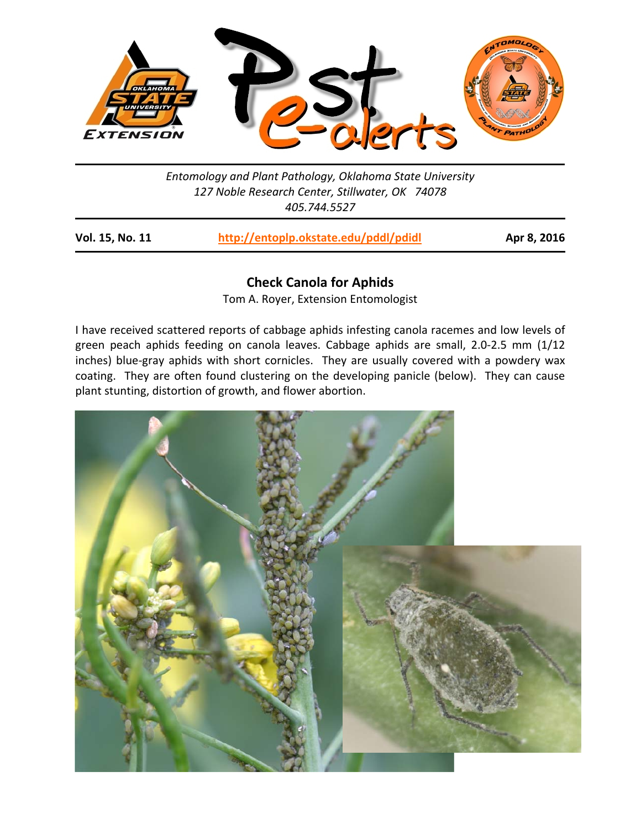

*Entomology and Plant Pathology, Oklahoma State University 127 Noble Research Center, Stillwater, OK 74078 405.744.5527* 

| Vol. 15, No. 11 | http://entoplp.okstate.edu/pddl/pdidl |  |
|-----------------|---------------------------------------|--|
|-----------------|---------------------------------------|--|

**bel. 15, 2016** 

## **Check Canola for Aphids**

Tom A. Royer, Extension Entomologist

I have received scattered reports of cabbage aphids infesting canola racemes and low levels of green peach aphids feeding on canola leaves. Cabbage aphids are small, 2.0-2.5 mm (1/12 inches) blue-gray aphids with short cornicles. They are usually covered with a powdery wax coating. They are often found clustering on the developing panicle (below). They can cause plant stunting, distortion of growth, and flower abortion.

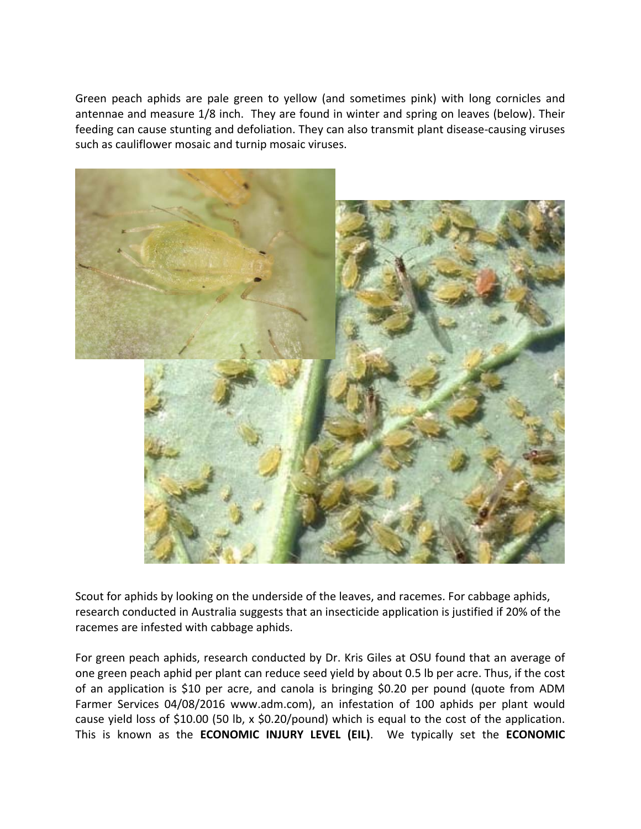Green peach aphids are pale green to yellow (and sometimes pink) with long cornicles and antennae and measure 1/8 inch. They are found in winter and spring on leaves (below). Their feeding can cause stunting and defoliation. They can also transmit plant disease‐causing viruses such as cauliflower mosaic and turnip mosaic viruses.



Scout for aphids by looking on the underside of the leaves, and racemes. For cabbage aphids, research conducted in Australia suggests that an insecticide application is justified if 20% of the racemes are infested with cabbage aphids.

For green peach aphids, research conducted by Dr. Kris Giles at OSU found that an average of one green peach aphid per plant can reduce seed yield by about 0.5 lb per acre. Thus, if the cost of an application is \$10 per acre, and canola is bringing \$0.20 per pound (quote from ADM Farmer Services 04/08/2016 www.adm.com), an infestation of 100 aphids per plant would cause yield loss of \$10.00 (50 lb, x \$0.20/pound) which is equal to the cost of the application. This is known as the **ECONOMIC INJURY LEVEL (EIL)**. We typically set the **ECONOMIC**